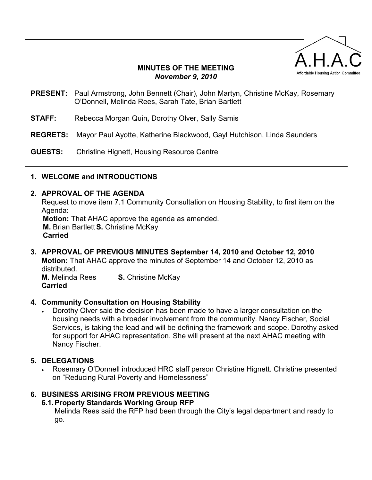

### **MINUTES OF THE MEETING**  *November 9, 2010*

- **PRESENT:** Paul Armstrong, John Bennett (Chair), John Martyn, Christine McKay, Rosemary O'Donnell, Melinda Rees, Sarah Tate, Brian Bartlett
- **STAFF:** Rebecca Morgan Quin**,** Dorothy Olver, Sally Samis
- **REGRETS:** Mayor Paul Ayotte, Katherine Blackwood, Gayl Hutchison, Linda Saunders
- **GUESTS:** Christine Hignett, Housing Resource Centre

### **1. WELCOME and INTRODUCTIONS**

#### **2. APPROVAL OF THE AGENDA**

Request to move item 7.1 Community Consultation on Housing Stability, to first item on the Agenda:

 **Motion:** That AHAC approve the agenda as amended.  **M.** Brian Bartlett **S.** Christine McKay **Carried** 

#### **3. APPROVAL OF PREVIOUS MINUTES September 14, 2010 and October 12, 2010 Motion:** That AHAC approve the minutes of September 14 and October 12, 2010 as distributed. **M.** Melinda Rees **S.** Christine McKay

**Carried**

### **4. Community Consultation on Housing Stability**

• Dorothy Olver said the decision has been made to have a larger consultation on the housing needs with a broader involvement from the community. Nancy Fischer, Social Services, is taking the lead and will be defining the framework and scope. Dorothy asked for support for AHAC representation. She will present at the next AHAC meeting with Nancy Fischer.

### **5. DELEGATIONS**

• Rosemary O'Donnell introduced HRC staff person Christine Hignett. Christine presented on "Reducing Rural Poverty and Homelessness"

### **6. BUSINESS ARISING FROM PREVIOUS MEETING**

### **6.1. Property Standards Working Group RFP**

Melinda Rees said the RFP had been through the City's legal department and ready to go.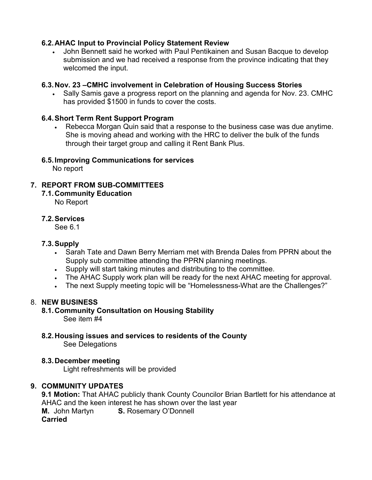## **6.2. AHAC Input to Provincial Policy Statement Review**

• John Bennett said he worked with Paul Pentikainen and Susan Bacque to develop submission and we had received a response from the province indicating that they welcomed the input.

### **6.3. Nov. 23 –CMHC involvement in Celebration of Housing Success Stories**

• Sally Samis gave a progress report on the planning and agenda for Nov. 23. CMHC has provided \$1500 in funds to cover the costs.

### **6.4. Short Term Rent Support Program**

• Rebecca Morgan Quin said that a response to the business case was due anytime. She is moving ahead and working with the HRC to deliver the bulk of the funds through their target group and calling it Rent Bank Plus.

### **6.5. Improving Communications for services**

No report

## **7. REPORT FROM SUB-COMMITTEES**

**7.1. Community Education**  No Report

### **7.2. Services**

See 6.1

### **7.3. Supply**

- Sarah Tate and Dawn Berry Merriam met with Brenda Dales from PPRN about the Supply sub committee attending the PPRN planning meetings.
- Supply will start taking minutes and distributing to the committee.
- The AHAC Supply work plan will be ready for the next AHAC meeting for approval.
- The next Supply meeting topic will be "Homelessness-What are the Challenges?"

## 8. **NEW BUSINESS**

# **8.1. Community Consultation on Housing Stability**

See item #4

**8.2. Housing issues and services to residents of the County**  See Delegations

### **8.3. December meeting**

Light refreshments will be provided

### **9. COMMUNITY UPDATES**

**9.1 Motion:** That AHAC publicly thank County Councilor Brian Bartlett for his attendance at AHAC and the keen interest he has shown over the last year **M.** John Martyn **S.** Rosemary O'Donnell **Carried**